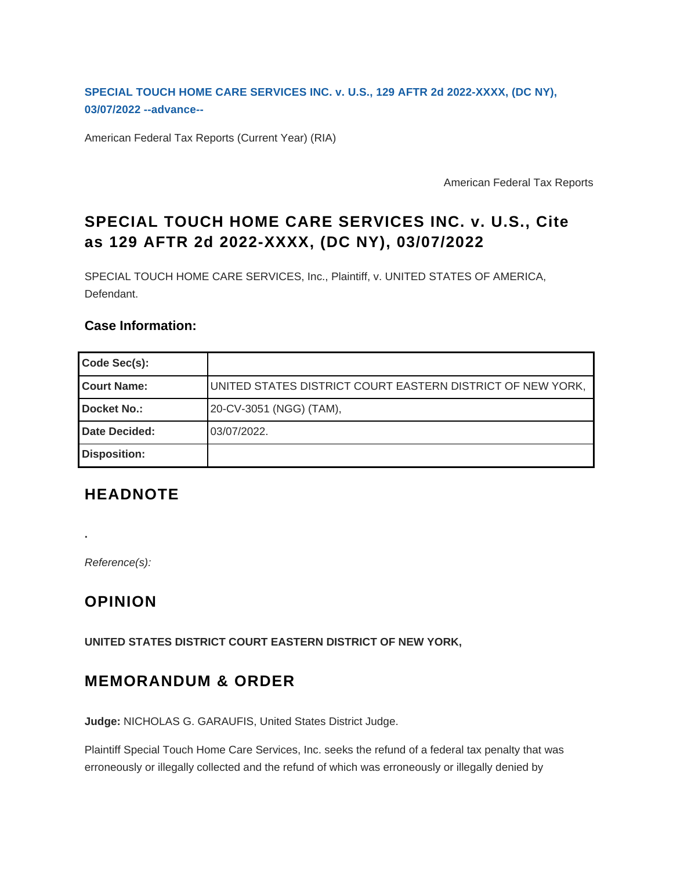**[SPECIAL TOUCH HOME CARE SERVICES INC. v. U.S., 129 AFTR 2d 2022-XXXX, \(DC NY\),](https://checkpoint.riag.com/app/find?begParm=y&appVer=22.03&dbName=ADVAFTR&linkType=docloc&locId=2022-459_p&ods=AFTRINC&permaId=ibca9f6bd9e27ee37c364b527096abaf5&permaType=doc&persId=b6e162c3f3bb4c2a87edf6406cb906df&tagName=AFTRCAS&endParm=y) [03/07/2022 --advance--](https://checkpoint.riag.com/app/find?begParm=y&appVer=22.03&dbName=ADVAFTR&linkType=docloc&locId=2022-459_p&ods=AFTRINC&permaId=ibca9f6bd9e27ee37c364b527096abaf5&permaType=doc&persId=b6e162c3f3bb4c2a87edf6406cb906df&tagName=AFTRCAS&endParm=y)**

American Federal Tax Reports (Current Year) (RIA)

American Federal Tax Reports

# **SPECIAL TOUCH HOME CARE SERVICES INC. v. U.S., Cite as 129 AFTR 2d 2022-XXXX, (DC NY), 03/07/2022**

SPECIAL TOUCH HOME CARE SERVICES, Inc., Plaintiff, v. UNITED STATES OF AMERICA, Defendant.

#### **Case Information:**

| Code Sec(s):         |                                                            |
|----------------------|------------------------------------------------------------|
| <b>Court Name:</b>   | UNITED STATES DISTRICT COURT EASTERN DISTRICT OF NEW YORK, |
| <b>Docket No.:</b>   | 20-CV-3051 (NGG) (TAM),                                    |
| <b>Date Decided:</b> | 03/07/2022.                                                |
| <b>Disposition:</b>  |                                                            |

## **HEADNOTE**

Reference(s):

**.**

## **OPINION**

**UNITED STATES DISTRICT COURT EASTERN DISTRICT OF NEW YORK,**

### **MEMORANDUM & ORDER**

**Judge:** NICHOLAS G. GARAUFIS, United States District Judge.

Plaintiff Special Touch Home Care Services, Inc. seeks the refund of a federal tax penalty that was erroneously or illegally collected and the refund of which was erroneously or illegally denied by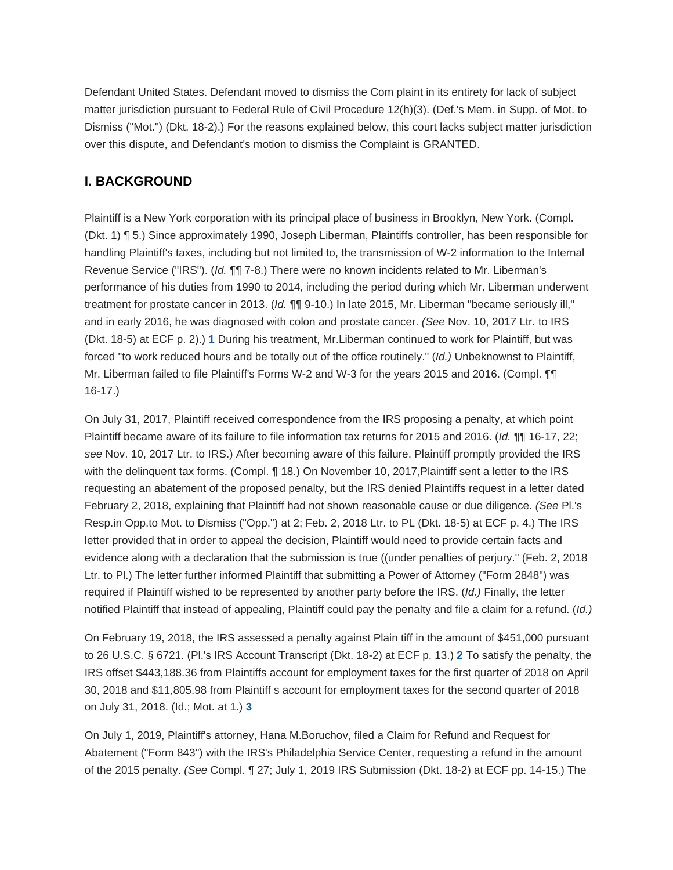Defendant United States. Defendant moved to dismiss the Com plaint in its entirety for lack of subject matter jurisdiction pursuant to Federal Rule of Civil Procedure 12(h)(3). (Def.'s Mem. in Supp. of Mot. to Dismiss ("Mot.") (Dkt. 18-2).) For the reasons explained below, this court lacks subject matter jurisdiction over this dispute, and Defendant's motion to dismiss the Complaint is GRANTED.

### **I. BACKGROUND**

Plaintiff is a New York corporation with its principal place of business in Brooklyn, New York. (Compl. (Dkt. 1) ¶ 5.) Since approximately 1990, Joseph Liberman, Plaintiffs controller, has been responsible for handling Plaintiff's taxes, including but not limited to, the transmission of W-2 information to the Internal Revenue Service ("IRS"). (Id. 111 7-8.) There were no known incidents related to Mr. Liberman's performance of his duties from 1990 to 2014, including the period during which Mr. Liberman underwent treatment for prostate cancer in 2013. (Id.  $\P\P$  9-10.) In late 2015, Mr. Liberman "became seriously ill," and in early 2016, he was diagnosed with colon and prostate cancer. (See Nov. 10, 2017 Ltr. to IRS (Dkt. 18-5) at ECF p. 2).) **[1](#page-11-0)** During his treatment, Mr.Liberman continued to work for Plaintiff, but was forced "to work reduced hours and be totally out of the office routinely." (Id.) Unbeknownst to Plaintiff, Mr. Liberman failed to file Plaintiff's Forms W-2 and W-3 for the years 2015 and 2016. (Compl. ¶¶ 16-17.)

<span id="page-1-0"></span>On July 31, 2017, Plaintiff received correspondence from the IRS proposing a penalty, at which point Plaintiff became aware of its failure to file information tax returns for 2015 and 2016. (Id. ¶¶ 16-17, 22; see Nov. 10, 2017 Ltr. to IRS.) After becoming aware of this failure, Plaintiff promptly provided the IRS with the delinquent tax forms. (Compl. ¶ 18.) On November 10, 2017,Plaintiff sent a letter to the IRS requesting an abatement of the proposed penalty, but the IRS denied Plaintiffs request in a letter dated February 2, 2018, explaining that Plaintiff had not shown reasonable cause or due diligence. (See Pl.'s Resp.in Opp.to Mot. to Dismiss ("Opp.") at 2; Feb. 2, 2018 Ltr. to PL (Dkt. 18-5) at ECF p. 4.) The IRS letter provided that in order to appeal the decision, Plaintiff would need to provide certain facts and evidence along with a declaration that the submission is true ((under penalties of perjury." (Feb. 2, 2018 Ltr. to Pl.) The letter further informed Plaintiff that submitting a Power of Attorney ("Form 2848") was required if Plaintiff wished to be represented by another party before the IRS. (Id.) Finally, the letter notified Plaintiff that instead of appealing, Plaintiff could pay the penalty and file a claim for a refund. (Id.)

<span id="page-1-1"></span>On February 19, 2018, the IRS assessed a penalty against Plain tiff in the amount of \$451,000 pursuant to 26 U.S.C. § 6721. (Pl.'s IRS Account Transcript (Dkt. 18-2) at ECF p. 13.) **[2](#page-11-1)** To satisfy the penalty, the IRS offset \$443,188.36 from Plaintiffs account for employment taxes for the first quarter of 2018 on April 30, 2018 and \$11,805.98 from Plaintiff s account for employment taxes for the second quarter of 2018 on July 31, 2018. (Id.; Mot. at 1.) **[3](#page-11-2)**

<span id="page-1-2"></span>On July 1, 2019, Plaintiff's attorney, Hana M.Boruchov, filed a Claim for Refund and Request for Abatement ("Form 843") with the IRS's Philadelphia Service Center, requesting a refund in the amount of the 2015 penalty. (See Compl. ¶ 27; July 1, 2019 IRS Submission (Dkt. 18-2) at ECF pp. 14-15.) The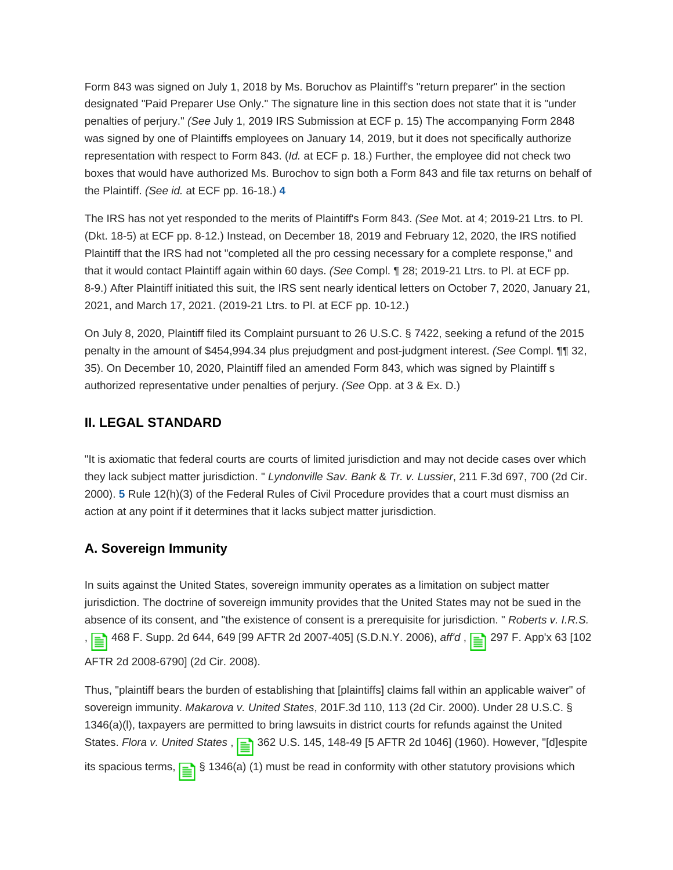Form 843 was signed on July 1, 2018 by Ms. Boruchov as Plaintiff's "return preparer" in the section designated "Paid Preparer Use Only." The signature line in this section does not state that it is "under penalties of perjury." (See July 1, 2019 IRS Submission at ECF p. 15) The accompanying Form 2848 was signed by one of Plaintiffs employees on January 14, 2019, but it does not specifically authorize representation with respect to Form 843. (Id. at ECF p. 18.) Further, the employee did not check two boxes that would have authorized Ms. Burochov to sign both a Form 843 and file tax returns on behalf of the Plaintiff. (See id. at ECF pp. 16-18.) **[4](#page-11-3)**

<span id="page-2-0"></span>The IRS has not yet responded to the merits of Plaintiff's Form 843. (See Mot. at 4; 2019-21 Ltrs. to Pl. (Dkt. 18-5) at ECF pp. 8-12.) Instead, on December 18, 2019 and February 12, 2020, the IRS notified Plaintiff that the IRS had not "completed all the pro cessing necessary for a complete response," and that it would contact Plaintiff again within 60 days. (See Compl. ¶ 28; 2019-21 Ltrs. to Pl. at ECF pp. 8-9.) After Plaintiff initiated this suit, the IRS sent nearly identical letters on October 7, 2020, January 21, 2021, and March 17, 2021. (2019-21 Ltrs. to Pl. at ECF pp. 10-12.)

On July 8, 2020, Plaintiff filed its Complaint pursuant to 26 U.S.C. § 7422, seeking a refund of the 2015 penalty in the amount of \$454,994.34 plus prejudgment and post-judgment interest. (See Compl. 11 32, 35). On December 10, 2020, Plaintiff filed an amended Form 843, which was signed by Plaintiff s authorized representative under penalties of perjury. (See Opp. at 3 & Ex. D.)

#### **II. LEGAL STANDARD**

<span id="page-2-1"></span>"It is axiomatic that federal courts are courts of limited jurisdiction and may not decide cases over which they lack subject matter jurisdiction. " Lyndonville Sav. Bank & Tr. v. Lussier, 211 F.3d 697, 700 (2d Cir. 2000). **[5](#page-11-4)** Rule 12(h)(3) of the Federal Rules of Civil Procedure provides that a court must dismiss an action at any point if it determines that it lacks subject matter jurisdiction.

#### **A. Sovereign Immunity**

In suits against the United States, sovereign immunity operates as a limitation on subject matter jurisdiction. The doctrine of sovereign immunity provides that the United States may not be sued in the absence of its consent, and "the existence of consent is a prerequisite for jurisdiction. " Roberts v. I.R.S. ,  $\boxed{\equiv}$  468 F. Supp. 2d 644, 649 [99 AFTR 2d 2007-405] (S.D.N.Y. 2006), aff'd ,  $\boxed{\equiv}$  297 F. App'x 63 [102 AFTR 2d 2008-6790] (2d Cir. 2008).

Thus, "plaintiff bears the burden of establishing that [plaintiffs] claims fall within an applicable waiver" of sovereign immunity. Makarova v. United States, 201F.3d 110, 113 (2d Cir. 2000). Under 28 U.S.C. § 1346(a)(l), taxpayers are permitted to bring lawsuits in district courts for refunds against the United States. Flora v. United States, <sub>2</sub> 362 U.S. 145, 148-49 [5 AFTR 2d 1046] (1960). However, "[d]espite its spacious terms,  $\frac{1}{\sqrt{2}}$  § 1346(a) (1) must be read in conformity with other statutory provisions which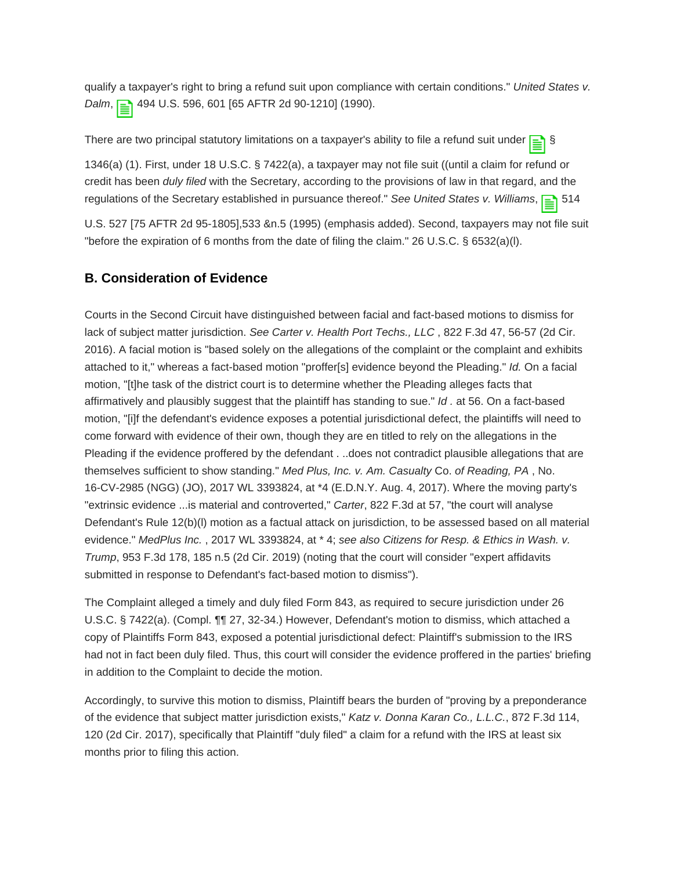qualify a taxpayer's right to bring a refund suit upon compliance with certain conditions." United States v. Dalm, 2 494 U.S. 596, 601 [65 AFTR 2d 90-1210] (1990).

There are two principal statutory limitations on a taxpayer's ability to file a refund suit under

1346(a) (1). First, under 18 U.S.C. § 7422(a), a taxpayer may not file suit ((until a claim for refund or credit has been duly filed with the Secretary, according to the provisions of law in that regard, and the regulations of the Secretary established in pursuance thereof." See United States v. Williams,  $\equiv$  514

U.S. 527 [75 AFTR 2d 95-1805],533 &n.5 (1995) (emphasis added). Second, taxpayers may not file suit "before the expiration of 6 months from the date of filing the claim." 26 U.S.C. § 6532(a)(l).

### **B. Consideration of Evidence**

Courts in the Second Circuit have distinguished between facial and fact-based motions to dismiss for lack of subject matter jurisdiction. See Carter v. Health Port Techs., LLC, 822 F.3d 47, 56-57 (2d Cir. 2016). A facial motion is "based solely on the allegations of the complaint or the complaint and exhibits attached to it," whereas a fact-based motion "proffer[s] evidence beyond the Pleading." Id. On a facial motion, "[t]he task of the district court is to determine whether the Pleading alleges facts that affirmatively and plausibly suggest that the plaintiff has standing to sue."  $Id$  . at 56. On a fact-based motion, "[i]f the defendant's evidence exposes a potential jurisdictional defect, the plaintiffs will need to come forward with evidence of their own, though they are en titled to rely on the allegations in the Pleading if the evidence proffered by the defendant . ..does not contradict plausible allegations that are themselves sufficient to show standing." Med Plus, Inc. v. Am. Casualty Co. of Reading, PA, No. 16-CV-2985 (NGG) (JO), 2017 WL 3393824, at \*4 (E.D.N.Y. Aug. 4, 2017). Where the moving party's "extrinsic evidence ...is material and controverted," Carter, 822 F.3d at 57, "the court will analyse Defendant's Rule 12(b)(l) motion as a factual attack on jurisdiction, to be assessed based on all material evidence." MedPlus Inc., 2017 WL 3393824, at \* 4; see also Citizens for Resp. & Ethics in Wash. v. Trump, 953 F.3d 178, 185 n.5 (2d Cir. 2019) (noting that the court will consider "expert affidavits submitted in response to Defendant's fact-based motion to dismiss").

The Complaint alleged a timely and duly filed Form 843, as required to secure jurisdiction under 26 U.S.C. § 7422(a). (Compl. ¶¶ 27, 32-34.) However, Defendant's motion to dismiss, which attached a copy of Plaintiffs Form 843, exposed a potential jurisdictional defect: Plaintiff's submission to the IRS had not in fact been duly filed. Thus, this court will consider the evidence proffered in the parties' briefing in addition to the Complaint to decide the motion.

Accordingly, to survive this motion to dismiss, Plaintiff bears the burden of "proving by a preponderance of the evidence that subject matter jurisdiction exists," Katz v. Donna Karan Co., L.L.C., 872 F.3d 114, 120 (2d Cir. 2017), specifically that Plaintiff "duly filed" a claim for a refund with the IRS at least six months prior to filing this action.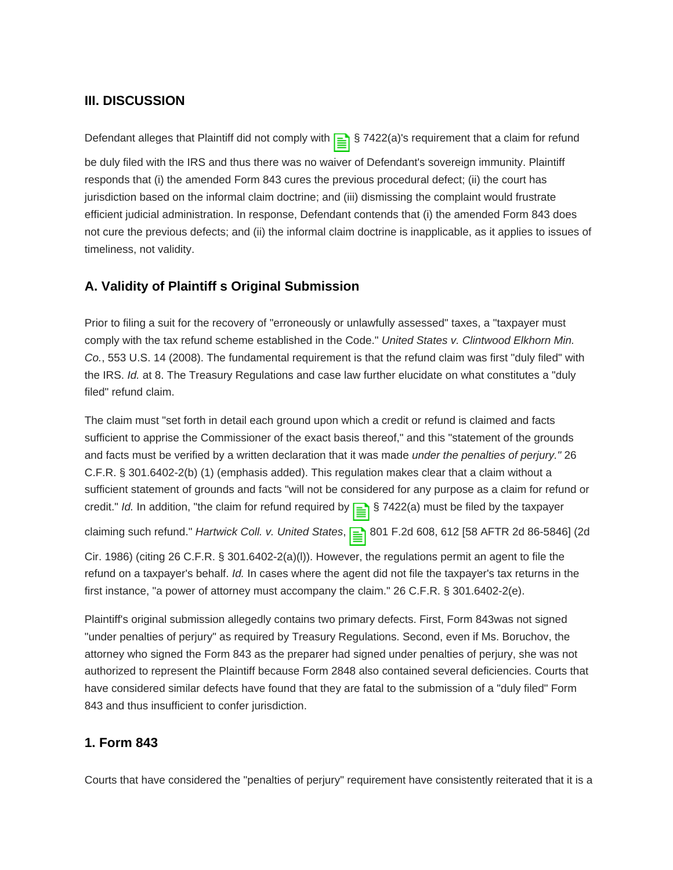#### **III. DISCUSSION**

Defendant alleges that Plaintiff did not comply with  $\equiv$  § 7422(a)'s requirement that a claim for refund

be duly filed with the IRS and thus there was no waiver of Defendant's sovereign immunity. Plaintiff responds that (i) the amended Form 843 cures the previous procedural defect; (ii) the court has jurisdiction based on the informal claim doctrine; and (iii) dismissing the complaint would frustrate efficient judicial administration. In response, Defendant contends that (i) the amended Form 843 does not cure the previous defects; and (ii) the informal claim doctrine is inapplicable, as it applies to issues of timeliness, not validity.

#### **A. Validity of Plaintiff s Original Submission**

Prior to filing a suit for the recovery of "erroneously or unlawfully assessed" taxes, a "taxpayer must comply with the tax refund scheme established in the Code." United States v. Clintwood Elkhorn Min. Co., 553 U.S. 14 (2008). The fundamental requirement is that the refund claim was first "duly filed" with the IRS. Id. at 8. The Treasury Regulations and case law further elucidate on what constitutes a "duly filed" refund claim.

The claim must "set forth in detail each ground upon which a credit or refund is claimed and facts sufficient to apprise the Commissioner of the exact basis thereof," and this "statement of the grounds and facts must be verified by a written declaration that it was made under the penalties of perjury." 26 C.F.R. § 301.6402-2(b) (1) (emphasis added). This regulation makes clear that a claim without a sufficient statement of grounds and facts "will not be considered for any purpose as a claim for refund or credit." Id. In addition, "the claim for refund required by  $\equiv$  \$ 7422(a) must be filed by the taxpayer

claiming such refund." Hartwick Coll. v. United States, <sub>1</sub><sup>1</sup>801 F.2d 608, 612 [58 AFTR 2d 86-5846] (2d

Cir. 1986) (citing 26 C.F.R. § 301.6402-2(a)(l)). However, the regulations permit an agent to file the refund on a taxpayer's behalf. Id. In cases where the agent did not file the taxpayer's tax returns in the first instance, "a power of attorney must accompany the claim." 26 C.F.R. § 301.6402-2(e).

Plaintiff's original submission allegedly contains two primary defects. First, Form 843was not signed "under penalties of perjury" as required by Treasury Regulations. Second, even if Ms. Boruchov, the attorney who signed the Form 843 as the preparer had signed under penalties of perjury, she was not authorized to represent the Plaintiff because Form 2848 also contained several deficiencies. Courts that have considered similar defects have found that they are fatal to the submission of a "duly filed" Form 843 and thus insufficient to confer jurisdiction.

#### **1. Form 843**

Courts that have considered the "penalties of perjury" requirement have consistently reiterated that it is a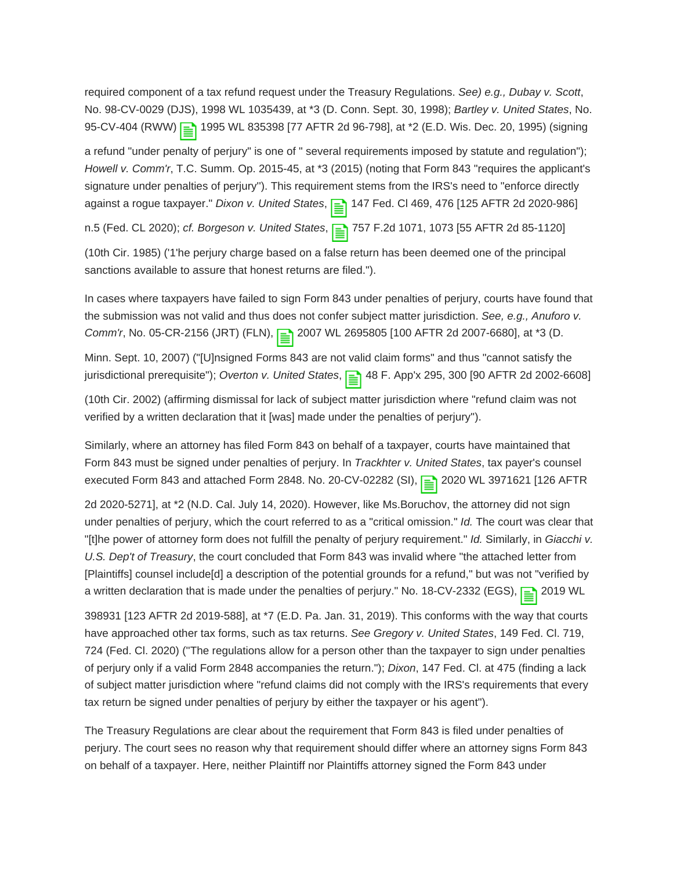required component of a tax refund request under the Treasury Regulations. See) e.g., Dubay v. Scott, No. 98-CV-0029 (DJS), 1998 WL 1035439, at \*3 (D. Conn. Sept. 30, 1998); Bartley v. United States, No. 95-CV-404 (RWW) | 1995 WL 835398 [77 AFTR 2d 96-798], at \*2 (E.D. Wis. Dec. 20, 1995) (signing

a refund "under penalty of perjury" is one of " several requirements imposed by statute and regulation"); Howell v. Comm'r, T.C. Summ. Op. 2015-45, at \*3 (2015) (noting that Form 843 "requires the applicant's signature under penalties of perjury''). This requirement stems from the IRS's need to "enforce directly against a rogue taxpayer." Dixon v. United States, 1147 Fed. Cl 469, 476 [125 AFTR 2d 2020-986]

n.5 (Fed. CL 2020); cf. Borgeson v. United States, <sub>1</sub><sup>1</sup>/<sub>2</sub>757 F.2d 1071, 1073 [55 AFTR 2d 85-1120]

(10th Cir. 1985) ('1'he perjury charge based on a false return has been deemed one of the principal sanctions available to assure that honest returns are filed.").

In cases where taxpayers have failed to sign Form 843 under penalties of perjury, courts have found that the submission was not valid and thus does not confer subject matter jurisdiction. See, e.g., Anuforo v. Comm'r, No. 05-CR-2156 (JRT) (FLN),  $\boxed{\equiv}$  2007 WL 2695805 [100 AFTR 2d 2007-6680], at \*3 (D.

Minn. Sept. 10, 2007) ("[U]nsigned Forms 843 are not valid claim forms" and thus "cannot satisfy the jurisdictional prerequisite"); Overton v. United States,  $\boxed{\equiv}$  48 F. App'x 295, 300 [90 AFTR 2d 2002-6608]

(10th Cir. 2002) (affirming dismissal for lack of subject matter jurisdiction where "refund claim was not verified by a written declaration that it [was] made under the penalties of perjury'').

Similarly, where an attorney has filed Form 843 on behalf of a taxpayer, courts have maintained that Form 843 must be signed under penalties of perjury. In Trackhter v. United States, tax payer's counsel executed Form 843 and attached Form 2848. No. 20-CV-02282 (SI), 2020 WL 3971621 [126 AFTR

2d 2020-5271], at \*2 (N.D. Cal. July 14, 2020). However, like Ms.Boruchov, the attorney did not sign under penalties of perjury, which the court referred to as a "critical omission." Id. The court was clear that "[t]he power of attorney form does not fulfill the penalty of perjury requirement." Id. Similarly, in Giacchi v. U.S. Dep't of Treasury, the court concluded that Form 843 was invalid where "the attached letter from [Plaintiffs] counsel include[d] a description of the potential grounds for a refund," but was not "verified by a written declaration that is made under the penalties of perjury." No. 18-CV-2332 (EGS),  $\Box$  2019 WL

398931 [123 AFTR 2d 2019-588], at \*7 (E.D. Pa. Jan. 31, 2019). This conforms with the way that courts have approached other tax forms, such as tax returns. See Gregory v. United States, 149 Fed. Cl. 719, 724 (Fed. Cl. 2020) (''The regulations allow for a person other than the taxpayer to sign under penalties of perjury only if a valid Form 2848 accompanies the return."); Dixon, 147 Fed. Cl. at 475 (finding a lack of subject matter jurisdiction where "refund claims did not comply with the IRS's requirements that every tax return be signed under penalties of perjury by either the taxpayer or his agent").

The Treasury Regulations are clear about the requirement that Form 843 is filed under penalties of perjury. The court sees no reason why that requirement should differ where an attorney signs Form 843 on behalf of a taxpayer. Here, neither Plaintiff nor Plaintiffs attorney signed the Form 843 under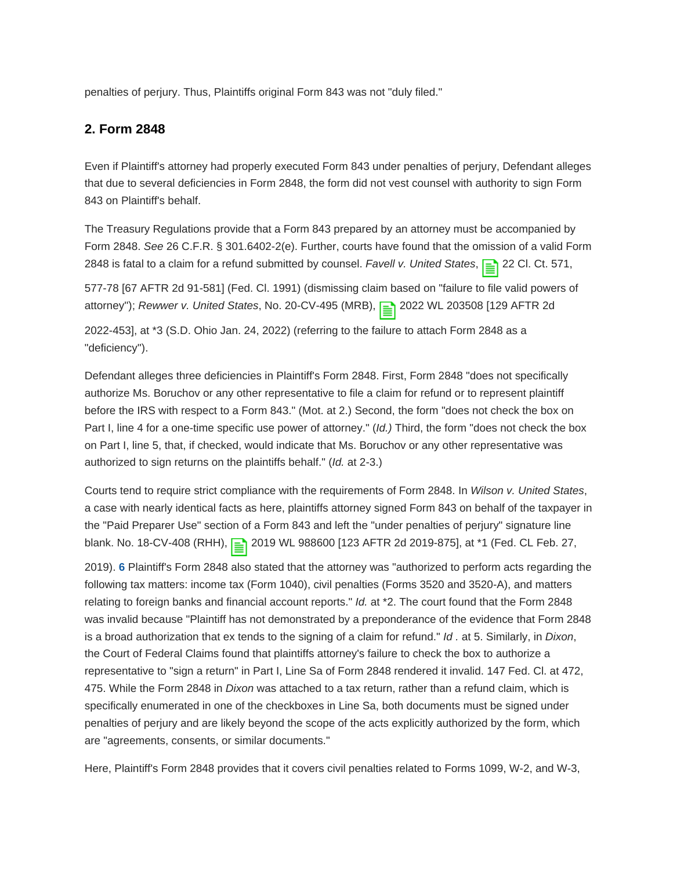penalties of perjury. Thus, Plaintiffs original Form 843 was not "duly filed."

#### **2. Form 2848**

Even if Plaintiff's attorney had properly executed Form 843 under penalties of perjury, Defendant alleges that due to several deficiencies in Form 2848, the form did not vest counsel with authority to sign Form 843 on Plaintiff's behalf.

The Treasury Regulations provide that a Form 843 prepared by an attorney must be accompanied by Form 2848. See 26 C.F.R. § 301.6402-2(e). Further, courts have found that the omission of a valid Form 2848 is fatal to a claim for a refund submitted by counsel. Favell v. United States,  $\equiv$  22 Cl. Ct. 571,

577-78 [67 AFTR 2d 91-581] (Fed. Cl. 1991) (dismissing claim based on "failure to file valid powers of attorney"); Rewwer v. United States, No. 20-CV-495 (MRB),  $\boxed{\equiv}$  2022 WL 203508 [129 AFTR 2d

2022-453], at \*3 (S.D. Ohio Jan. 24, 2022) (referring to the failure to attach Form 2848 as a "deficiency'').

Defendant alleges three deficiencies in Plaintiff's Form 2848. First, Form 2848 "does not specifically authorize Ms. Boruchov or any other representative to file a claim for refund or to represent plaintiff before the IRS with respect to a Form 843." (Mot. at 2.) Second, the form "does not check the box on Part I, line 4 for a one-time specific use power of attorney." (Id.) Third, the form "does not check the box on Part I, line 5, that, if checked, would indicate that Ms. Boruchov or any other representative was authorized to sign returns on the plaintiffs behalf." (Id. at 2-3.)

Courts tend to require strict compliance with the requirements of Form 2848. In Wilson v. United States, a case with nearly identical facts as here, plaintiffs attorney signed Form 843 on behalf of the taxpayer in the "Paid Preparer Use" section of a Form 843 and left the "under penalties of perjury" signature line blank. No. 18-CV-408 (RHH), 2019 WL 988600 [123 AFTR 2d 2019-875], at \*1 (Fed. CL Feb. 27,

<span id="page-6-0"></span>2019). **[6](#page-12-0)** Plaintiff's Form 2848 also stated that the attorney was "authorized to perform acts regarding the following tax matters: income tax (Form 1040), civil penalties (Forms 3520 and 3520-A), and matters relating to foreign banks and financial account reports." *Id.* at \*2. The court found that the Form 2848 was invalid because "Plaintiff has not demonstrated by a preponderance of the evidence that Form 2848 is a broad authorization that ex tends to the signing of a claim for refund."  $Id$  . at 5. Similarly, in Dixon, the Court of Federal Claims found that plaintiffs attorney's failure to check the box to authorize a representative to "sign a return" in Part I, Line Sa of Form 2848 rendered it invalid. 147 Fed. Cl. at 472, 475. While the Form 2848 in Dixon was attached to a tax return, rather than a refund claim, which is specifically enumerated in one of the checkboxes in Line Sa, both documents must be signed under penalties of perjury and are likely beyond the scope of the acts explicitly authorized by the form, which are "agreements, consents, or similar documents."

Here, Plaintiff's Form 2848 provides that it covers civil penalties related to Forms 1099, W-2, and W-3,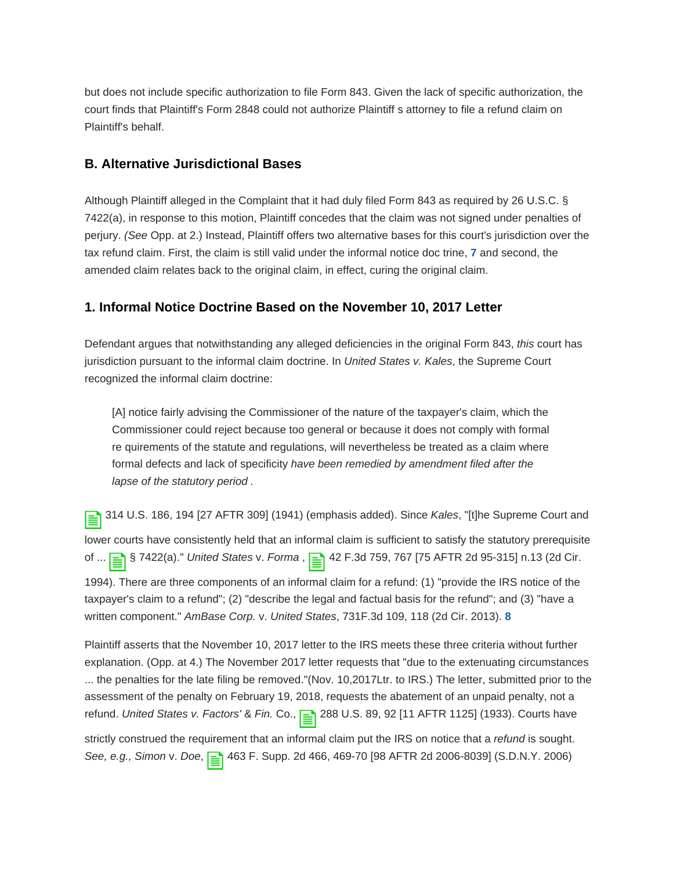but does not include specific authorization to file Form 843. Given the lack of specific authorization, the court finds that Plaintiff's Form 2848 could not authorize Plaintiff s attorney to file a refund claim on Plaintiff's behalf.

#### **B. Alternative Jurisdictional Bases**

<span id="page-7-0"></span>Although Plaintiff alleged in the Complaint that it had duly filed Form 843 as required by 26 U.S.C. § 7422(a), in response to this motion, Plaintiff concedes that the claim was not signed under penalties of perjury. (See Opp. at 2.) Instead, Plaintiff offers two alternative bases for this court's jurisdiction over the tax refund claim. First, the claim is still valid under the informal notice doc trine, **[7](#page-12-1)** and second, the amended claim relates back to the original claim, in effect, curing the original claim.

#### **1. Informal Notice Doctrine Based on the November 10, 2017 Letter**

Defendant argues that notwithstanding any alleged deficiencies in the original Form 843, this court has jurisdiction pursuant to the informal claim doctrine. In United States v. Kales, the Supreme Court recognized the informal claim doctrine:

[A] notice fairly advising the Commissioner of the nature of the taxpayer's claim, which the Commissioner could reject because too general or because it does not comply with formal re quirements of the statute and regulations, will nevertheless be treated as a claim where formal defects and lack of specificity have been remedied by amendment filed after the lapse of the statutory period .

314 U.S. 186, 194 [27 AFTR 309] (1941) (emphasis added). Since Kales, "[t]he Supreme Court and lower courts have consistently held that an informal claim is sufficient to satisfy the statutory prerequisite of ... **see 5 1422(a).**" United States v. Forma, <sub>see</sub> 42 F.3d 759, 767 [75 AFTR 2d 95-315] n.13 (2d Cir. 1994). There are three components of an informal claim for a refund: (1) "provide the IRS notice of the taxpayer's claim to a refund"; (2) "describe the legal and factual basis for the refund"; and (3) "have a written component." AmBase Corp. v. United States, 731F.3d 109, 118 (2d Cir. 2013). **[8](#page-12-2)**

<span id="page-7-1"></span>Plaintiff asserts that the November 10, 2017 letter to the IRS meets these three criteria without further explanation. (Opp. at 4.) The November 2017 letter requests that "due to the extenuating circumstances ... the penalties for the late filing be removed."(Nov. 10,2017Ltr. to IRS.) The letter, submitted prior to the assessment of the penalty on February 19, 2018, requests the abatement of an unpaid penalty, not a refund. United States v. Factors' & Fin. Co., 288 U.S. 89, 92 [11 AFTR 1125] (1933). Courts have strictly construed the requirement that an informal claim put the IRS on notice that a *refund* is sought. See, e.g., Simon v. Doe, <sub>E</sub> 463 F. Supp. 2d 466, 469-70 [98 AFTR 2d 2006-8039] (S.D.N.Y. 2006)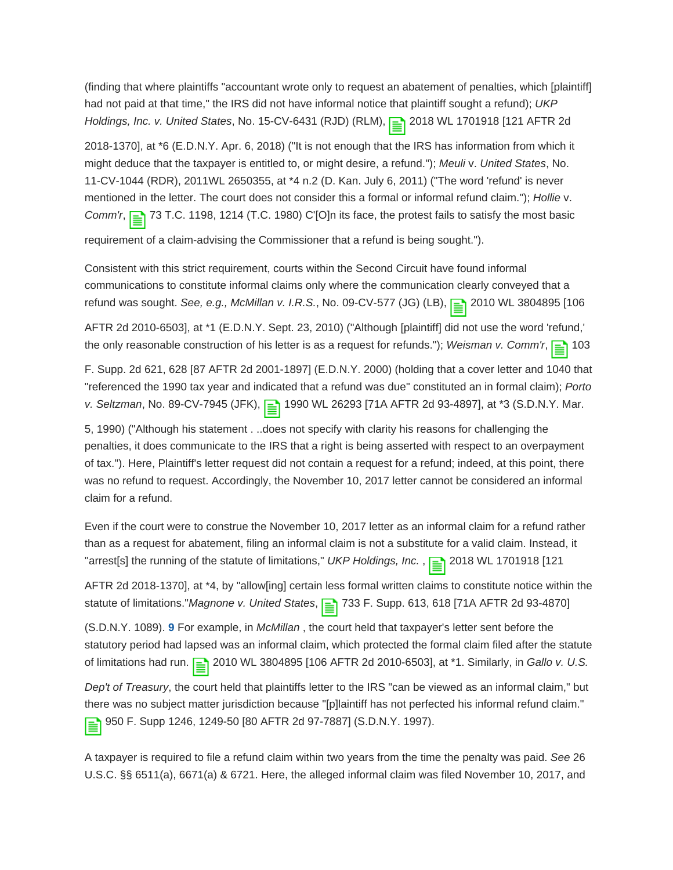(finding that where plaintiffs "accountant wrote only to request an abatement of penalties, which [plaintiff] had not paid at that time," the IRS did not have informal notice that plaintiff sought a refund); UKP Holdings, Inc. v. United States, No. 15-CV-6431 (RJD) (RLM), 2018 WL 1701918 [121 AFTR 2d

2018-1370], at \*6 (E.D.N.Y. Apr. 6, 2018) ("It is not enough that the IRS has information from which it might deduce that the taxpayer is entitled to, or might desire, a refund."); Meuli v. United States, No. 11-CV-1044 (RDR), 2011WL 2650355, at \*4 n.2 (D. Kan. July 6, 2011) ("The word 'refund' is never mentioned in the letter. The court does not consider this a formal or informal refund claim."); Hollie v. Comm'r,  $\boxed{\equiv}$  73 T.C. 1198, 1214 (T.C. 1980) C'[O]n its face, the protest fails to satisfy the most basic

requirement of a claim-advising the Commissioner that a refund is being sought.").

Consistent with this strict requirement, courts within the Second Circuit have found informal communications to constitute informal claims only where the communication clearly conveyed that a refund was sought. See, e.g., McMillan v. I.R.S., No. 09-CV-577 (JG) (LB), **[</u>≥]** 2010 WL 3804895 [106

AFTR 2d 2010-6503], at \*1 (E.D.N.Y. Sept. 23, 2010) ("Although [plaintiff] did not use the word 'refund,' the only reasonable construction of his letter is as a request for refunds."); Weisman v. Comm'r,  $\boxed{\equiv}$  103

F. Supp. 2d 621, 628 [87 AFTR 2d 2001-1897] (E.D.N.Y. 2000) (holding that a cover letter and 1040 that "referenced the 1990 tax year and indicated that a refund was due" constituted an in formal claim); Porto v. Seltzman, No. 89-CV-7945 (JFK), 1990 WL 26293 [71A AFTR 2d 93-4897], at \*3 (S.D.N.Y. Mar.

5, 1990) ("Although his statement . ..does not specify with clarity his reasons for challenging the penalties, it does communicate to the IRS that a right is being asserted with respect to an overpayment of tax."). Here, Plaintiff's letter request did not contain a request for a refund; indeed, at this point, there was no refund to request. Accordingly, the November 10, 2017 letter cannot be considered an informal claim for a refund.

Even if the court were to construe the November 10, 2017 letter as an informal claim for a refund rather than as a request for abatement, filing an informal claim is not a substitute for a valid claim. Instead, it "arrest[s] the running of the statute of limitations," UKP Holdings, Inc.,  $\boxed{\equiv}$  2018 WL 1701918 [121]

AFTR 2d 2018-1370], at \*4, by "allow[ing] certain less formal written claims to constitute notice within the statute of limitations." Magnone v. United States,  $\equiv$  733 F. Supp. 613, 618 [71A AFTR 2d 93-4870]

<span id="page-8-0"></span>(S.D.N.Y. 1089). **[9](#page-12-3)** For example, in McMillan , the court held that taxpayer's letter sent before the statutory period had lapsed was an informal claim, which protected the formal claim filed after the statute of limitations had run.  $\boxed{\equiv}$  2010 WL 3804895 [106 AFTR 2d 2010-6503], at \*1. Similarly, in Gallo v. U.S.

Dep't of Treasury, the court held that plaintiffs letter to the IRS "can be viewed as an informal claim," but there was no subject matter jurisdiction because "[p]laintiff has not perfected his informal refund claim." 950 F. Supp 1246, 1249-50 [80 AFTR 2d 97-7887] (S.D.N.Y. 1997).

A taxpayer is required to file a refund claim within two years from the time the penalty was paid. See 26 U.S.C. §§ 6511(a), 6671(a) & 6721. Here, the alleged informal claim was filed November 10, 2017, and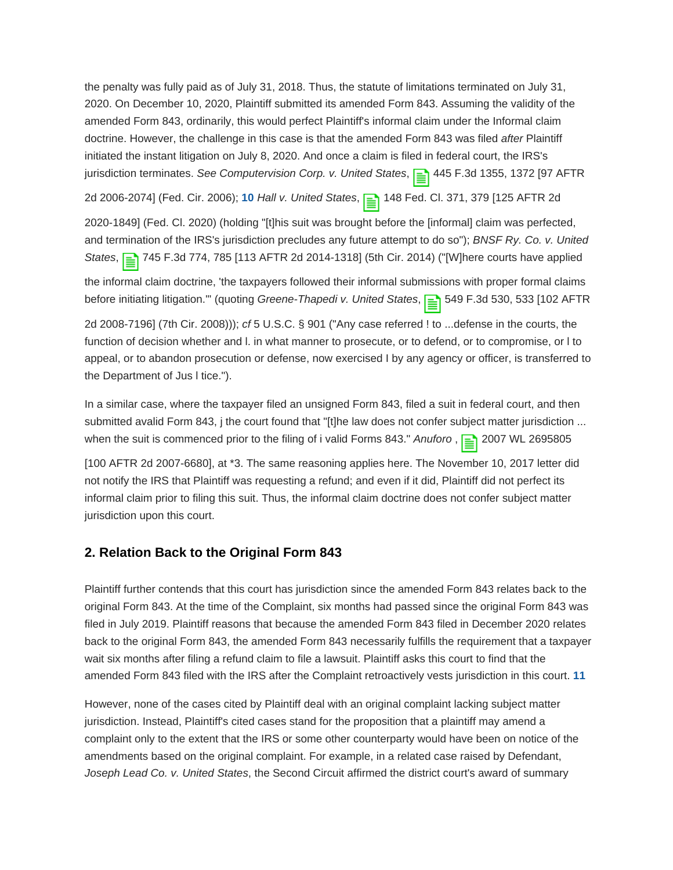the penalty was fully paid as of July 31, 2018. Thus, the statute of limitations terminated on July 31, 2020. On December 10, 2020, Plaintiff submitted its amended Form 843. Assuming the validity of the amended Form 843, ordinarily, this would perfect Plaintiff's informal claim under the Informal claim doctrine. However, the challenge in this case is that the amended Form 843 was filed after Plaintiff initiated the instant litigation on July 8, 2020. And once a claim is filed in federal court, the IRS's jurisdiction terminates. See Computervision Corp. v. United States,  $\equiv$  445 F.3d 1355, 1372 [97 AFTR

<span id="page-9-0"></span>2d 2006-2074] (Fed. Cir. 2006); **[10](#page-12-4)** Hall v. United States, 148 Fed. Cl. 371, 379 [125 AFTR 2d

2020-1849] (Fed. Cl. 2020) (holding "[t]his suit was brought before the [informal] claim was perfected, and termination of the IRS's jurisdiction precludes any future attempt to do so"); BNSF Ry. Co. v. United States, 2145 F.3d 774, 785 [113 AFTR 2d 2014-1318] (5th Cir. 2014) ("[W]here courts have applied

the informal claim doctrine, 'the taxpayers followed their informal submissions with proper formal claims before initiating litigation."' (quoting Greene-Thapedi v. United States,  $\equiv$  549 F.3d 530, 533 [102 AFTR

2d 2008-7196] (7th Cir. 2008))); cf 5 U.S.C. § 901 ("Any case referred ! to ...defense in the courts, the function of decision whether and l. in what manner to prosecute, or to defend, or to compromise, or l to appeal, or to abandon prosecution or defense, now exercised I by any agency or officer, is transferred to the Department of Jus l tice.").

In a similar case, where the taxpayer filed an unsigned Form 843, filed a suit in federal court, and then submitted avalid Form 843, j the court found that "[t]he law does not confer subject matter jurisdiction ... when the suit is commenced prior to the filing of i valid Forms 843." Anuforo,  $\geq$  2007 WL 2695805

[100 AFTR 2d 2007-6680], at \*3. The same reasoning applies here. The November 10, 2017 letter did not notify the IRS that Plaintiff was requesting a refund; and even if it did, Plaintiff did not perfect its informal claim prior to filing this suit. Thus, the informal claim doctrine does not confer subject matter jurisdiction upon this court.

#### **2. Relation Back to the Original Form 843**

Plaintiff further contends that this court has jurisdiction since the amended Form 843 relates back to the original Form 843. At the time of the Complaint, six months had passed since the original Form 843 was filed in July 2019. Plaintiff reasons that because the amended Form 843 filed in December 2020 relates back to the original Form 843, the amended Form 843 necessarily fulfills the requirement that a taxpayer wait six months after filing a refund claim to file a lawsuit. Plaintiff asks this court to find that the amended Form 843 filed with the IRS after the Complaint retroactively vests jurisdiction in this court. **[11](#page-12-5)**

<span id="page-9-1"></span>However, none of the cases cited by Plaintiff deal with an original complaint lacking subject matter jurisdiction. Instead, Plaintiff's cited cases stand for the proposition that a plaintiff may amend a complaint only to the extent that the IRS or some other counterparty would have been on notice of the amendments based on the original complaint. For example, in a related case raised by Defendant, Joseph Lead Co. v. United States, the Second Circuit affirmed the district court's award of summary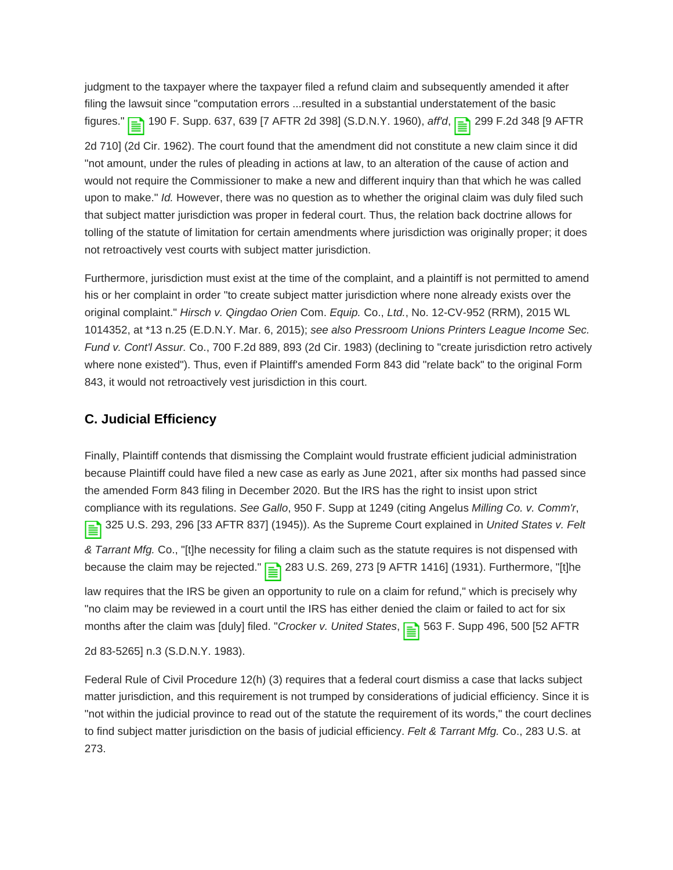judgment to the taxpayer where the taxpayer filed a refund claim and subsequently amended it after filing the lawsuit since "computation errors ...resulted in a substantial understatement of the basic figures." **190 F. Supp. 637, 639 [7 AFTR 2d 398] (S.D.N.Y. 1960), aff'd, <sup>299</sup> F.2d 348 [9 AFTR** 2d 710] (2d Cir. 1962). The court found that the amendment did not constitute a new claim since it did "not amount, under the rules of pleading in actions at law, to an alteration of the cause of action and would not require the Commissioner to make a new and different inquiry than that which he was called upon to make." Id. However, there was no question as to whether the original claim was duly filed such that subject matter jurisdiction was proper in federal court. Thus, the relation back doctrine allows for tolling of the statute of limitation for certain amendments where jurisdiction was originally proper; it does not retroactively vest courts with subject matter jurisdiction.

Furthermore, jurisdiction must exist at the time of the complaint, and a plaintiff is not permitted to amend his or her complaint in order "to create subject matter jurisdiction where none already exists over the original complaint." Hirsch v. Qingdao Orien Com. Equip. Co., Ltd., No. 12-CV-952 (RRM), 2015 WL 1014352, at \*13 n.25 (E.D.N.Y. Mar. 6, 2015); see also Pressroom Unions Printers League Income Sec. Fund v. Cont'l Assur. Co., 700 F.2d 889, 893 (2d Cir. 1983) (declining to "create jurisdiction retro actively where none existed"). Thus, even if Plaintiff's amended Form 843 did "relate back" to the original Form 843, it would not retroactively vest jurisdiction in this court.

#### **C. Judicial Efficiency**

Finally, Plaintiff contends that dismissing the Complaint would frustrate efficient judicial administration because Plaintiff could have filed a new case as early as June 2021, after six months had passed since the amended Form 843 filing in December 2020. But the IRS has the right to insist upon strict compliance with its regulations. See Gallo, 950 F. Supp at 1249 (citing Angelus Milling Co. v. Comm'r, 325 U.S. 293, 296 [33 AFTR 837] (1945)). As the Supreme Court explained in United States v. Felt

& Tarrant Mfg. Co., "[t]he necessity for filing a claim such as the statute requires is not dispensed with because the claim may be rejected."  $\boxed{\equiv}$  283 U.S. 269, 273 [9 AFTR 1416] (1931). Furthermore, "[t]he

law requires that the IRS be given an opportunity to rule on a claim for refund," which is precisely why "no claim may be reviewed in a court until the IRS has either denied the claim or failed to act for six months after the claim was [duly] filed. "Crocker v. United States, <sub>1</sub> 563 F. Supp 496, 500 [52 AFTR

2d 83-5265] n.3 (S.D.N.Y. 1983).

Federal Rule of Civil Procedure 12(h) (3) requires that a federal court dismiss a case that lacks subject matter jurisdiction, and this requirement is not trumped by considerations of judicial efficiency. Since it is "not within the judicial province to read out of the statute the requirement of its words," the court declines to find subject matter jurisdiction on the basis of judicial efficiency. Felt & Tarrant Mfg. Co., 283 U.S. at 273.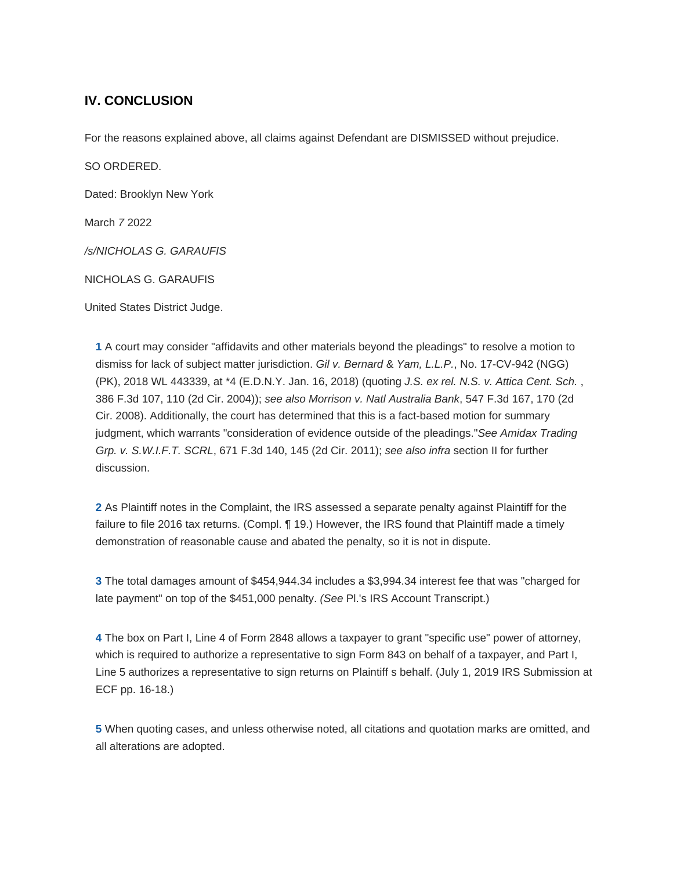#### **IV. CONCLUSION**

For the reasons explained above, all claims against Defendant are DISMISSED without prejudice.

SO ORDERED.

Dated: Brooklyn New York

March 7 2022

/s/NICHOLAS G. GARAUFIS

NICHOLAS G. GARAUFIS

United States District Judge.

<span id="page-11-0"></span>**[1](#page-1-0)** A court may consider "affidavits and other materials beyond the pleadings" to resolve a motion to dismiss for lack of subject matter jurisdiction. Gil v. Bernard & Yam, L.L.P., No. 17-CV-942 (NGG) (PK), 2018 WL 443339, at \*4 (E.D.N.Y. Jan. 16, 2018) (quoting J.S. ex rel. N.S. v. Attica Cent. Sch. , 386 F.3d 107, 110 (2d Cir. 2004)); see also Morrison v. Natl Australia Bank, 547 F.3d 167, 170 (2d Cir. 2008). Additionally, the court has determined that this is a fact-based motion for summary judgment, which warrants "consideration of evidence outside of the pleadings."See Amidax Trading Grp. v. S.W.I.F.T. SCRL, 671 F.3d 140, 145 (2d Cir. 2011); see also infra section II for further discussion.

<span id="page-11-1"></span>**[2](#page-1-1)** As Plaintiff notes in the Complaint, the IRS assessed a separate penalty against Plaintiff for the failure to file 2016 tax returns. (Compl. 19.) However, the IRS found that Plaintiff made a timely demonstration of reasonable cause and abated the penalty, so it is not in dispute.

<span id="page-11-2"></span>**[3](#page-1-2)** The total damages amount of \$454,944.34 includes a \$3,994.34 interest fee that was "charged for late payment" on top of the \$451,000 penalty. (See Pl.'s IRS Account Transcript.)

<span id="page-11-3"></span>**[4](#page-2-0)** The box on Part I, Line 4 of Form 2848 allows a taxpayer to grant "specific use" power of attorney, which is required to authorize a representative to sign Form 843 on behalf of a taxpayer, and Part I, Line 5 authorizes a representative to sign returns on Plaintiff s behalf. (July 1, 2019 IRS Submission at ECF pp. 16-18.)

<span id="page-11-4"></span>**[5](#page-2-1)** When quoting cases, and unless otherwise noted, all citations and quotation marks are omitted, and all alterations are adopted.